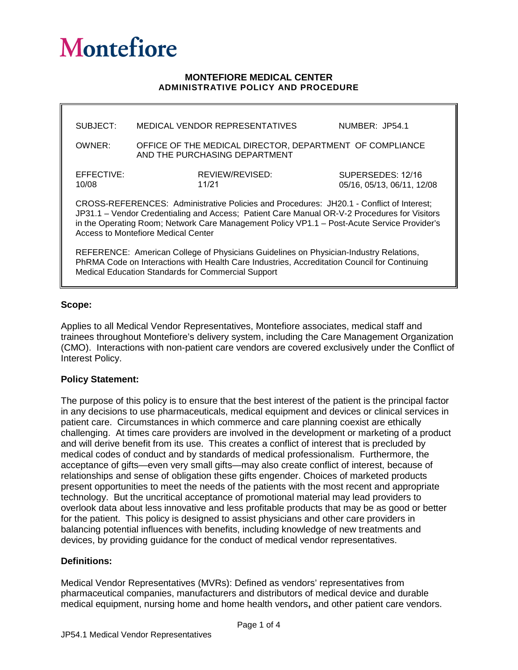# **Montefiore**

#### **MONTEFIORE MEDICAL CENTER ADMINISTRATIVE POLICY AND PROCEDURE**

| SUBJECT:                                                                                                                                                                                                                                                                                                                       | MEDICAL VENDOR REPRESENTATIVES                                                            | NUMBER: JP54.1                                  |
|--------------------------------------------------------------------------------------------------------------------------------------------------------------------------------------------------------------------------------------------------------------------------------------------------------------------------------|-------------------------------------------------------------------------------------------|-------------------------------------------------|
| OWNER:                                                                                                                                                                                                                                                                                                                         | OFFICE OF THE MEDICAL DIRECTOR, DEPARTMENT OF COMPLIANCE<br>AND THE PURCHASING DEPARTMENT |                                                 |
| EFFECTIVE:<br>10/08                                                                                                                                                                                                                                                                                                            | REVIEW/REVISED:<br>11/21                                                                  | SUPERSEDES: 12/16<br>05/16, 05/13, 06/11, 12/08 |
| CROSS-REFERENCES: Administrative Policies and Procedures: JH20.1 - Conflict of Interest;<br>JP31.1 - Vendor Credentialing and Access; Patient Care Manual OR-V-2 Procedures for Visitors<br>in the Operating Room; Network Care Management Policy VP1.1 - Post-Acute Service Provider's<br>Access to Montefiore Medical Center |                                                                                           |                                                 |
| REFERENCE: American College of Physicians Guidelines on Physician-Industry Relations,<br>$\blacksquare$ . The state of the state of the state of the state of the state of the state of the state of the state of the state of the state of the state of the state of the state of the state of the state of the state of the  |                                                                                           |                                                 |

PhRMA Code on Interactions with Health Care Industries, Accreditation Council for Continuing Medical Education Standards for Commercial Support

#### **Scope:**

Applies to all Medical Vendor Representatives, Montefiore associates, medical staff and trainees throughout Montefiore's delivery system, including the Care Management Organization (CMO). Interactions with non-patient care vendors are covered exclusively under the Conflict of Interest Policy.

#### **Policy Statement:**

The purpose of this policy is to ensure that the best interest of the patient is the principal factor in any decisions to use pharmaceuticals, medical equipment and devices or clinical services in patient care. Circumstances in which commerce and care planning coexist are ethically challenging. At times care providers are involved in the development or marketing of a product and will derive benefit from its use. This creates a conflict of interest that is precluded by medical codes of conduct and by standards of medical professionalism. Furthermore, the acceptance of gifts—even very small gifts—may also create conflict of interest, because of relationships and sense of obligation these gifts engender. Choices of marketed products present opportunities to meet the needs of the patients with the most recent and appropriate technology. But the uncritical acceptance of promotional material may lead providers to overlook data about less innovative and less profitable products that may be as good or better for the patient. This policy is designed to assist physicians and other care providers in balancing potential influences with benefits, including knowledge of new treatments and devices, by providing guidance for the conduct of medical vendor representatives.

#### **Definitions:**

Medical Vendor Representatives (MVRs): Defined as vendors' representatives from pharmaceutical companies, manufacturers and distributors of medical device and durable medical equipment, nursing home and home health vendors**,** and other patient care vendors.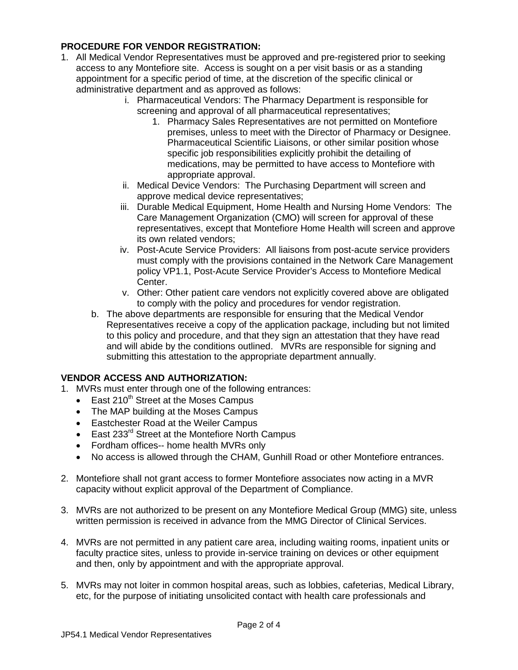## **PROCEDURE FOR VENDOR REGISTRATION:**

- 1. All Medical Vendor Representatives must be approved and pre-registered prior to seeking access to any Montefiore site. Access is sought on a per visit basis or as a standing appointment for a specific period of time, at the discretion of the specific clinical or administrative department and as approved as follows:
	- i. Pharmaceutical Vendors: The Pharmacy Department is responsible for screening and approval of all pharmaceutical representatives;
		- 1. Pharmacy Sales Representatives are not permitted on Montefiore premises, unless to meet with the Director of Pharmacy or Designee. Pharmaceutical Scientific Liaisons, or other similar position whose specific job responsibilities explicitly prohibit the detailing of medications, may be permitted to have access to Montefiore with appropriate approval.
	- ii. Medical Device Vendors: The Purchasing Department will screen and approve medical device representatives;
	- iii. Durable Medical Equipment, Home Health and Nursing Home Vendors: The Care Management Organization (CMO) will screen for approval of these representatives, except that Montefiore Home Health will screen and approve its own related vendors;
	- iv. Post-Acute Service Providers: All liaisons from post-acute service providers must comply with the provisions contained in the Network Care Management policy VP1.1, Post-Acute Service Provider's Access to Montefiore Medical Center.
	- v. Other: Other patient care vendors not explicitly covered above are obligated to comply with the policy and procedures for vendor registration.
	- b. The above departments are responsible for ensuring that the Medical Vendor Representatives receive a copy of the application package, including but not limited to this policy and procedure, and that they sign an attestation that they have read and will abide by the conditions outlined. MVRs are responsible for signing and submitting this attestation to the appropriate department annually.

## **VENDOR ACCESS AND AUTHORIZATION:**

- 1. MVRs must enter through one of the following entrances:
	- $\bullet$  East 210<sup>th</sup> Street at the Moses Campus
	- The MAP building at the Moses Campus
	- Eastchester Road at the Weiler Campus
	- East 233<sup>rd</sup> Street at the Montefiore North Campus
	- Fordham offices-- home health MVRs only
	- No access is allowed through the CHAM, Gunhill Road or other Montefiore entrances.
- 2. Montefiore shall not grant access to former Montefiore associates now acting in a MVR capacity without explicit approval of the Department of Compliance.
- 3. MVRs are not authorized to be present on any Montefiore Medical Group (MMG) site, unless written permission is received in advance from the MMG Director of Clinical Services.
- 4. MVRs are not permitted in any patient care area, including waiting rooms, inpatient units or faculty practice sites, unless to provide in-service training on devices or other equipment and then, only by appointment and with the appropriate approval.
- 5. MVRs may not loiter in common hospital areas, such as lobbies, cafeterias, Medical Library, etc, for the purpose of initiating unsolicited contact with health care professionals and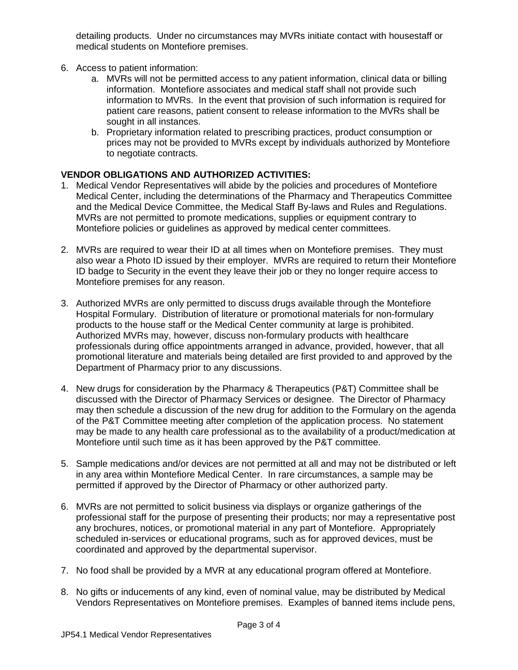detailing products. Under no circumstances may MVRs initiate contact with housestaff or medical students on Montefiore premises.

- 6. Access to patient information:
	- a. MVRs will not be permitted access to any patient information, clinical data or billing information. Montefiore associates and medical staff shall not provide such information to MVRs. In the event that provision of such information is required for patient care reasons, patient consent to release information to the MVRs shall be sought in all instances.
	- b. Proprietary information related to prescribing practices, product consumption or prices may not be provided to MVRs except by individuals authorized by Montefiore to negotiate contracts.

# **VENDOR OBLIGATIONS AND AUTHORIZED ACTIVITIES:**

- 1. Medical Vendor Representatives will abide by the policies and procedures of Montefiore Medical Center, including the determinations of the Pharmacy and Therapeutics Committee and the Medical Device Committee, the Medical Staff By-laws and Rules and Regulations. MVRs are not permitted to promote medications, supplies or equipment contrary to Montefiore policies or guidelines as approved by medical center committees.
- 2. MVRs are required to wear their ID at all times when on Montefiore premises. They must also wear a Photo ID issued by their employer. MVRs are required to return their Montefiore ID badge to Security in the event they leave their job or they no longer require access to Montefiore premises for any reason.
- 3. Authorized MVRs are only permitted to discuss drugs available through the Montefiore Hospital Formulary. Distribution of literature or promotional materials for non-formulary products to the house staff or the Medical Center community at large is prohibited. Authorized MVRs may, however, discuss non-formulary products with healthcare professionals during office appointments arranged in advance, provided, however, that all promotional literature and materials being detailed are first provided to and approved by the Department of Pharmacy prior to any discussions.
- 4. New drugs for consideration by the Pharmacy & Therapeutics (P&T) Committee shall be discussed with the Director of Pharmacy Services or designee. The Director of Pharmacy may then schedule a discussion of the new drug for addition to the Formulary on the agenda of the P&T Committee meeting after completion of the application process. No statement may be made to any health care professional as to the availability of a product/medication at Montefiore until such time as it has been approved by the P&T committee.
- 5. Sample medications and/or devices are not permitted at all and may not be distributed or left in any area within Montefiore Medical Center. In rare circumstances, a sample may be permitted if approved by the Director of Pharmacy or other authorized party.
- 6. MVRs are not permitted to solicit business via displays or organize gatherings of the professional staff for the purpose of presenting their products; nor may a representative post any brochures, notices, or promotional material in any part of Montefiore. Appropriately scheduled in-services or educational programs, such as for approved devices, must be coordinated and approved by the departmental supervisor.
- 7. No food shall be provided by a MVR at any educational program offered at Montefiore.
- 8. No gifts or inducements of any kind, even of nominal value, may be distributed by Medical Vendors Representatives on Montefiore premises. Examples of banned items include pens,